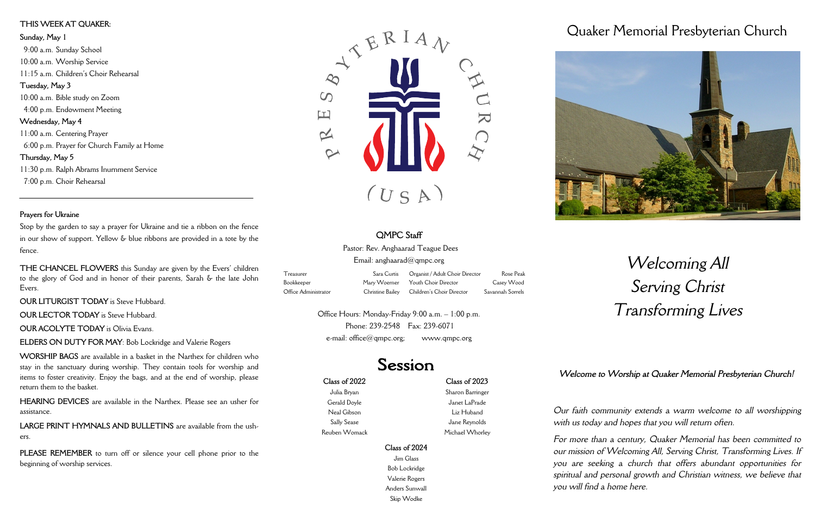#### **Class of 2022**

Julia Bryan Gerald Doyle Neal Gibson Sally Sease Reuben Womack

**Class of 2023** Sharon Barringer Janet LaPrade Liz Huband Jane Reynolds Michael Whorley

#### **Class of 2024**

Jim Glass Bob Lockridge Valerie Rogers Anders Sunwall Skip Wodke

## Quaker Memorial Presbyterian Church



# *Welcoming All Serving Christ Transforming Lives*

*Our faith community extends a warm welcome to all worshipping with us today and hopes that you will return often.*

Office Hours: Monday-Friday 9:00 a.m. – 1:00 p.m. Phone: 239-2548 Fax: 239-6071 e-mail:  $office@qmpc.org;$  www.qmpc.org

## Session

*For more than a century, Quaker Memorial has been committed to our mission of Welcoming All, Serving Christ, Transforming Lives. If you are seeking a church that offers abundant opportunities for spiritual and personal growth and Christian witness, we believe that you will find a home here.* 

### **QMPC Staff**

Pastor: Rev. Anghaarad Teague Dees

Email: anghaarad $@$ qmpc.org

| Treasurer            | Sara Curtis | Organist / Adult Choir Director            | Rose Peak        |
|----------------------|-------------|--------------------------------------------|------------------|
| Bookkeeper           |             | Mary Woerner Youth Choir Director          | Casey Wood       |
| Office Administrator |             | Christine Bailey Children's Choir Director | Savannah Sorrels |

### **THIS WEEK AT QUAKER: Sunday, May 1** 9:00 a.m. Sunday School 10:00 a.m. Worship Service 11:15 a.m. Children's Choir Rehearsal **Tuesday, May 3** 10:00 a.m. Bible study on Zoom 4:00 p.m. Endowment Meeting **Wednesday, May 4** 11:00 a.m. Centering Prayer 6:00 p.m. Prayer for Church Family at Home **Thursday, May 5** 11:30 p.m. Ralph Abrams Inurnment Service 7:00 p.m. Choir Rehearsal

#### **Prayers for Ukraine**

Stop by the garden to say a prayer for Ukraine and tie a ribbon on the fence in our show of support. Yellow & blue ribbons are provided in a tote by the fence.

**THE CHANCEL FLOWERS** this Sunday are given by the Evers' children to the glory of God and in honor of their parents, Sarah & the late John Evers.

**OUR LITURGIST TODAY** is Steve Hubbard.

**OUR LECTOR TODAY** is Steve Hubbard

**OUR ACOLYTE TODAY** is Olivia Evans.

**ELDERS ON DUTY FOR MAY**: Bob Lockridge and Valerie Rogers

**WORSHIP BAGS** are available in a basket in the Narthex for children who stay in the sanctuary during worship. They contain tools for worship and items to foster creativity. Enjoy the bags, and at the end of worship, please return them to the basket.

**HEARING DEVICES** are available in the Narthex. Please see an usher for assistance.

**LARGE PRINT HYMNALS AND BULLETINS** are available from the ushers.

**PLEASE REMEMBER** to turn off or silence your cell phone prior to the beginning of worship services.





*Welcome to Worship at Quaker Memorial Presbyterian Church!*